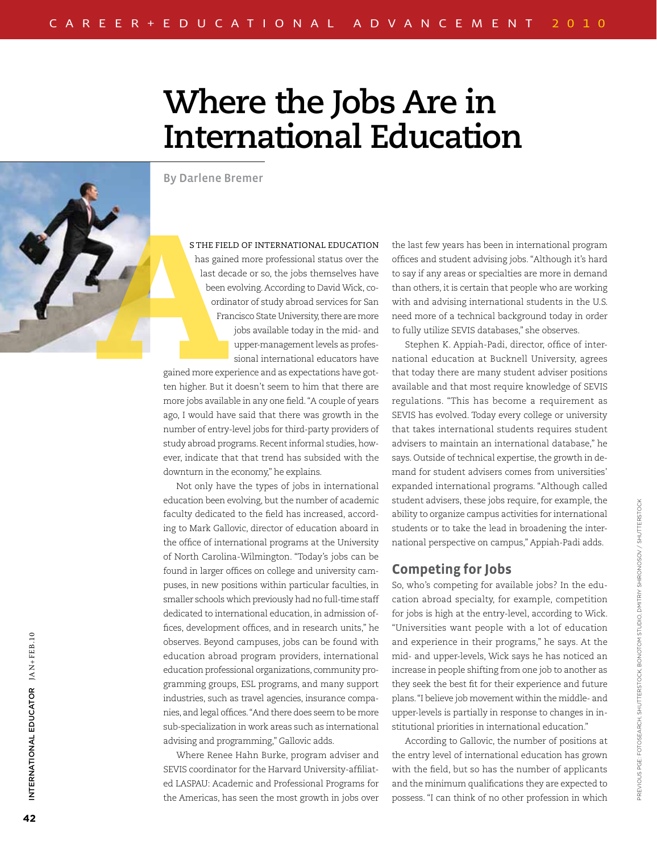# **Where the Jobs Are in International Education**

By Darlene Bremer

s the field of international education has gained more professional status over the last decade or so, the jobs themselves have been evolving. According to David Wick, coordinator of study abroad services for San Francisco State University, there are more jobs available today in the mid- and upper-management levels as professional international educators have

gained more experience and as expectations have gotten higher. But it doesn't seem to him that there are more jobs available in any one field. "A couple of years ago, I would have said that there was growth in the number of entry-level jobs for third-party providers of study abroad programs. Recent informal studies, however, indicate that that trend has subsided with the downturn in the economy," he explains.

Not only have the types of jobs in international education been evolving, but the number of academic faculty dedicated to the field has increased, according to Mark Gallovic, director of education aboard in the office of international programs at the University of North Carolina-Wilmington. "Today's jobs can be found in larger offices on college and university campuses, in new positions within particular faculties, in smaller schools which previously had no full-time staff dedicated to international education, in admission offices, development offices, and in research units," he observes. Beyond campuses, jobs can be found with education abroad program providers, international education professional organizations, community programming groups, ESL programs, and many support industries, such as travel agencies, insurance companies, and legal offices. "And there does seem to be more sub-specialization in work areas such as international advising and programming," Gallovic adds.

Where Renee Hahn Burke, program adviser and SEVIS coordinator for the Harvard University-affiliated LASPAU: Academic and Professional Programs for the Americas, has seen the most growth in jobs over the last few years has been in international program offices and student advising jobs. "Although it's hard to say if any areas or specialties are more in demand than others, it is certain that people who are working with and advising international students in the U.S. need more of a technical background today in order to fully utilize SEVIS databases," she observes.

Stephen K. Appiah-Padi, director, office of international education at Bucknell University, agrees that today there are many student adviser positions available and that most require knowledge of SEVIS regulations. "This has become a requirement as SEVIS has evolved. Today every college or university that takes international students requires student advisers to maintain an international database," he says. Outside of technical expertise, the growth in demand for student advisers comes from universities' expanded international programs. "Although called student advisers, these jobs require, for example, the ability to organize campus activities for international students or to take the lead in broadening the international perspective on campus," Appiah-Padi adds.

#### **Competing for Jobs**

So, who's competing for available jobs? In the education abroad specialty, for example, competition for jobs is high at the entry-level, according to Wick. "Universities want people with a lot of education and experience in their programs," he says. At the mid- and upper-levels, Wick says he has noticed an increase in people shifting from one job to another as they seek the best fit for their experience and future plans. "I believe job movement within the middle- and upper-levels is partially in response to changes in institutional priorities in international education."

According to Gallovic, the number of positions at the entry level of international education has grown with the field, but so has the number of applicants and the minimum qualifications they are expected to possess. "I can think of no other profession in which

International Educ

INTERNATIONAL EDUCATOR JAN+FEB.10

ATOR  $JAX+FEB.10$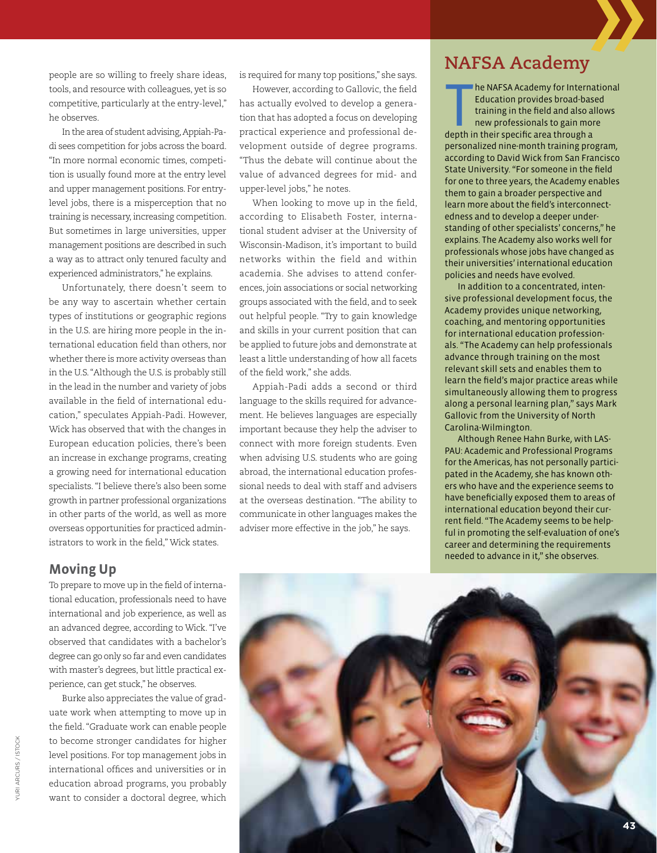people are so willing to freely share ideas, tools, and resource with colleagues, yet is so competitive, particularly at the entry-level," he observes.

In the area of student advising, Appiah-Padi sees competition for jobs across the board. "In more normal economic times, competition is usually found more at the entry level and upper management positions. For entrylevel jobs, there is a misperception that no training is necessary, increasing competition. But sometimes in large universities, upper management positions are described in such a way as to attract only tenured faculty and experienced administrators," he explains.

Unfortunately, there doesn't seem to be any way to ascertain whether certain types of institutions or geographic regions in the U.S. are hiring more people in the international education field than others, nor whether there is more activity overseas than in the U.S. "Although the U.S. is probably still in the lead in the number and variety of jobs available in the field of international education," speculates Appiah-Padi. However, Wick has observed that with the changes in European education policies, there's been an increase in exchange programs, creating a growing need for international education specialists. "I believe there's also been some growth in partner professional organizations in other parts of the world, as well as more overseas opportunities for practiced administrators to work in the field," Wick states.

is required for many top positions," she says.

However, according to Gallovic, the field has actually evolved to develop a generation that has adopted a focus on developing practical experience and professional development outside of degree programs. "Thus the debate will continue about the value of advanced degrees for mid- and upper-level jobs," he notes.

When looking to move up in the field, according to Elisabeth Foster, international student adviser at the University of Wisconsin-Madison, it's important to build networks within the field and within academia. She advises to attend conferences, join associations or social networking groups associated with the field, and to seek out helpful people. "Try to gain knowledge and skills in your current position that can be applied to future jobs and demonstrate at least a little understanding of how all facets of the field work," she adds.

Appiah-Padi adds a second or third language to the skills required for advancement. He believes languages are especially important because they help the adviser to connect with more foreign students. Even when advising U.S. students who are going abroad, the international education professional needs to deal with staff and advisers at the overseas destination. "The ability to communicate in other languages makes the adviser more effective in the job," he says.

## **NAFSA Academy**

he NAFSA Academy for Interna<br>Education provides broad-bas<br>training in the field and also a<br>new professionals to gain mor<br>depth in their specific area through a he NAFSA Academy for International Education provides broad-based training in the field and also allows new professionals to gain more personalized nine-month training program, according to David Wick from San Francisco State University. "For someone in the field for one to three years, the Academy enables them to gain a broader perspective and learn more about the field's interconnectedness and to develop a deeper understanding of other specialists' concerns," he explains. The Academy also works well for professionals whose jobs have changed as their universities' international education policies and needs have evolved.

In addition to a concentrated, intensive professional development focus, the Academy provides unique networking, coaching, and mentoring opportunities for international education professionals. "The Academy can help professionals advance through training on the most relevant skill sets and enables them to learn the field's major practice areas while simultaneously allowing them to progress along a personal learning plan," says Mark Gallovic from the University of North Carolina-Wilmington.

Although Renee Hahn Burke, with LAS-PAU: Academic and Professional Programs for the Americas, has not personally participated in the Academy, she has known others who have and the experience seems to have beneficially exposed them to areas of international education beyond their current field. "The Academy seems to be helpful in promoting the self-evaluation of one's career and determining the requirements needed to advance in it," she observes.

#### **Moving Up**

To prepare to move up in the field of international education, professionals need to have international and job experience, as well as an advanced degree, according to Wick. "I've observed that candidates with a bachelor's degree can go only so far and even candidates with master's degrees, but little practical experience, can get stuck," he observes.

Burke also appreciates the value of graduate work when attempting to move up in the field. "Graduate work can enable people to become stronger candidates for higher level positions. For top management jobs in international offices and universities or in education abroad programs, you probably want to consider a doctoral degree, which



URI ARCURS / ISTOCK yuri arcurs / istock